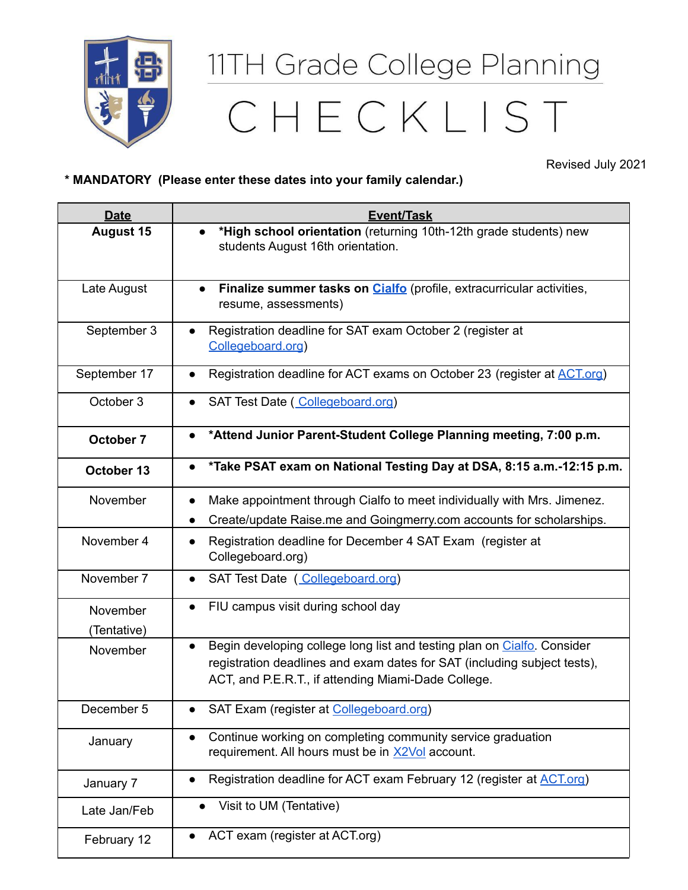

## 11TH Grade College Planning CHECKLIST

Revised July 2021

## **\* MANDATORY (Please enter these dates into your family calendar.)**

| <b>Date</b>             | <b>Event/Task</b>                                                                                                                                                                                                       |
|-------------------------|-------------------------------------------------------------------------------------------------------------------------------------------------------------------------------------------------------------------------|
| <b>August 15</b>        | *High school orientation (returning 10th-12th grade students) new<br>$\bullet$<br>students August 16th orientation.                                                                                                     |
| Late August             | Finalize summer tasks on Cialfo (profile, extracurricular activities,<br>$\bullet$<br>resume, assessments)                                                                                                              |
| September 3             | Registration deadline for SAT exam October 2 (register at<br>Collegeboard.org)                                                                                                                                          |
| September 17            | Registration deadline for ACT exams on October 23 (register at ACT.org)                                                                                                                                                 |
| October 3               | SAT Test Date (Collegeboard.org)                                                                                                                                                                                        |
| October 7               | *Attend Junior Parent-Student College Planning meeting, 7:00 p.m.<br>$\bullet$                                                                                                                                          |
| October 13              | *Take PSAT exam on National Testing Day at DSA, 8:15 a.m.-12:15 p.m.                                                                                                                                                    |
| November                | Make appointment through Cialfo to meet individually with Mrs. Jimenez.<br>Create/update Raise.me and Goingmerry.com accounts for scholarships.                                                                         |
| November 4              | Registration deadline for December 4 SAT Exam (register at<br>Collegeboard.org)                                                                                                                                         |
| November 7              | SAT Test Date (Collegeboard.org)<br>$\bullet$                                                                                                                                                                           |
| November<br>(Tentative) | FIU campus visit during school day                                                                                                                                                                                      |
| November                | Begin developing college long list and testing plan on Cialfo. Consider<br>$\bullet$<br>registration deadlines and exam dates for SAT (including subject tests),<br>ACT, and P.E.R.T., if attending Miami-Dade College. |
| December 5              | SAT Exam (register at Collegeboard.org)                                                                                                                                                                                 |
| January                 | Continue working on completing community service graduation<br>$\bullet$<br>requirement. All hours must be in X2Vol account.                                                                                            |
| January 7               | Registration deadline for ACT exam February 12 (register at ACT.org)<br>$\bullet$                                                                                                                                       |
| Late Jan/Feb            | Visit to UM (Tentative)<br>$\bullet$                                                                                                                                                                                    |
| February 12             | ACT exam (register at ACT.org)                                                                                                                                                                                          |